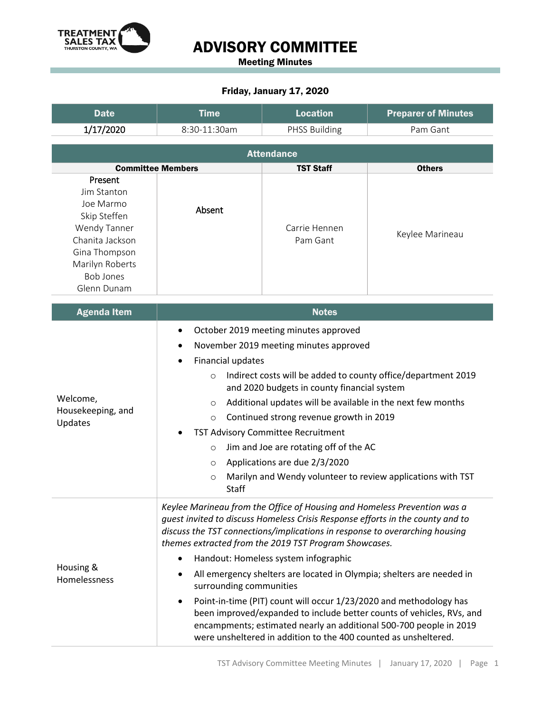

# ADVISORY COMMITTEE

Meeting Minutes

#### Friday, January 17, 2020

| <b>Date</b>                                                                                                                                                   | <b>Time</b>                                                                                                                                                                                                                                                                                                                                                                                                                                                                                                                                                                                                                                                                                                                            | <b>Location</b>           | <b>Preparer of Minutes</b> |  |  |  |
|---------------------------------------------------------------------------------------------------------------------------------------------------------------|----------------------------------------------------------------------------------------------------------------------------------------------------------------------------------------------------------------------------------------------------------------------------------------------------------------------------------------------------------------------------------------------------------------------------------------------------------------------------------------------------------------------------------------------------------------------------------------------------------------------------------------------------------------------------------------------------------------------------------------|---------------------------|----------------------------|--|--|--|
| 1/17/2020                                                                                                                                                     | 8:30-11:30am                                                                                                                                                                                                                                                                                                                                                                                                                                                                                                                                                                                                                                                                                                                           | <b>PHSS Building</b>      | Pam Gant                   |  |  |  |
| <b>Attendance</b>                                                                                                                                             |                                                                                                                                                                                                                                                                                                                                                                                                                                                                                                                                                                                                                                                                                                                                        |                           |                            |  |  |  |
| <b>Committee Members</b><br><b>Others</b><br><b>TST Staff</b>                                                                                                 |                                                                                                                                                                                                                                                                                                                                                                                                                                                                                                                                                                                                                                                                                                                                        |                           |                            |  |  |  |
| Present<br>Jim Stanton<br>Joe Marmo<br>Skip Steffen<br>Wendy Tanner<br>Chanita Jackson<br>Gina Thompson<br>Marilyn Roberts<br><b>Bob Jones</b><br>Glenn Dunam | Absent                                                                                                                                                                                                                                                                                                                                                                                                                                                                                                                                                                                                                                                                                                                                 | Carrie Hennen<br>Pam Gant | Keylee Marineau            |  |  |  |
| <b>Agenda Item</b>                                                                                                                                            | <b>Notes</b>                                                                                                                                                                                                                                                                                                                                                                                                                                                                                                                                                                                                                                                                                                                           |                           |                            |  |  |  |
| Welcome,<br>Housekeeping, and<br>Updates                                                                                                                      | October 2019 meeting minutes approved<br>November 2019 meeting minutes approved<br>Financial updates<br>Indirect costs will be added to county office/department 2019<br>$\circ$<br>and 2020 budgets in county financial system<br>Additional updates will be available in the next few months<br>$\circ$<br>Continued strong revenue growth in 2019<br>$\circ$<br>TST Advisory Committee Recruitment<br>Jim and Joe are rotating off of the AC<br>$\circ$<br>Applications are due 2/3/2020<br>$\circ$<br>Marilyn and Wendy volunteer to review applications with TST<br>$\circ$<br>Staff                                                                                                                                              |                           |                            |  |  |  |
| Housing &<br>Homelessness                                                                                                                                     | Keylee Marineau from the Office of Housing and Homeless Prevention was a<br>guest invited to discuss Homeless Crisis Response efforts in the county and to<br>discuss the TST connections/implications in response to overarching housing<br>themes extracted from the 2019 TST Program Showcases.<br>Handout: Homeless system infographic<br>All emergency shelters are located in Olympia; shelters are needed in<br>surrounding communities<br>Point-in-time (PIT) count will occur 1/23/2020 and methodology has<br>been improved/expanded to include better counts of vehicles, RVs, and<br>encampments; estimated nearly an additional 500-700 people in 2019<br>were unsheltered in addition to the 400 counted as unsheltered. |                           |                            |  |  |  |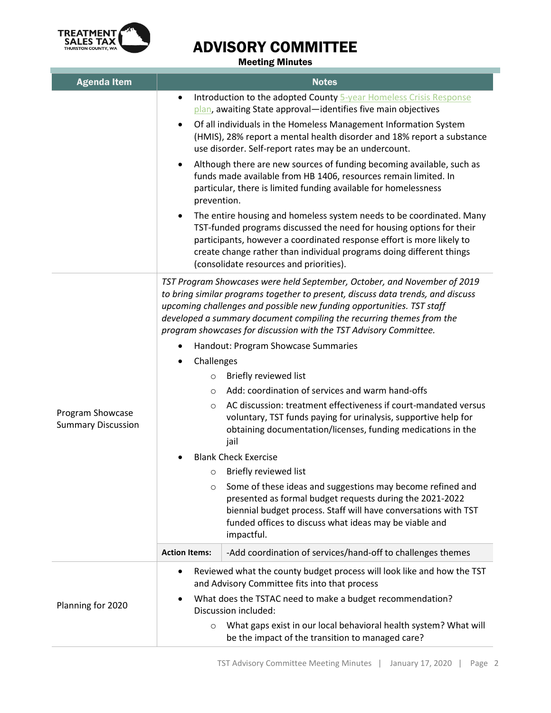

# ADVISORY COMMITTEE

Meeting Minutes

| <b>Agenda Item</b>                            | <b>Notes</b>                                                                                                                                                                                                                                                                                                                                                                                                                                        |  |  |  |
|-----------------------------------------------|-----------------------------------------------------------------------------------------------------------------------------------------------------------------------------------------------------------------------------------------------------------------------------------------------------------------------------------------------------------------------------------------------------------------------------------------------------|--|--|--|
|                                               | Introduction to the adopted County 5-year Homeless Crisis Response<br>$\bullet$<br>plan, awaiting State approval-identifies five main objectives                                                                                                                                                                                                                                                                                                    |  |  |  |
|                                               | Of all individuals in the Homeless Management Information System<br>$\bullet$<br>(HMIS), 28% report a mental health disorder and 18% report a substance<br>use disorder. Self-report rates may be an undercount.<br>Although there are new sources of funding becoming available, such as<br>٠<br>funds made available from HB 1406, resources remain limited. In<br>particular, there is limited funding available for homelessness<br>prevention. |  |  |  |
|                                               |                                                                                                                                                                                                                                                                                                                                                                                                                                                     |  |  |  |
|                                               | The entire housing and homeless system needs to be coordinated. Many<br>$\bullet$<br>TST-funded programs discussed the need for housing options for their<br>participants, however a coordinated response effort is more likely to<br>create change rather than individual programs doing different things<br>(consolidate resources and priorities).                                                                                               |  |  |  |
| Program Showcase<br><b>Summary Discussion</b> | TST Program Showcases were held September, October, and November of 2019<br>to bring similar programs together to present, discuss data trends, and discuss<br>upcoming challenges and possible new funding opportunities. TST staff<br>developed a summary document compiling the recurring themes from the<br>program showcases for discussion with the TST Advisory Committee.                                                                   |  |  |  |
|                                               | Handout: Program Showcase Summaries                                                                                                                                                                                                                                                                                                                                                                                                                 |  |  |  |
|                                               | Challenges                                                                                                                                                                                                                                                                                                                                                                                                                                          |  |  |  |
|                                               | Briefly reviewed list<br>$\circ$                                                                                                                                                                                                                                                                                                                                                                                                                    |  |  |  |
|                                               | Add: coordination of services and warm hand-offs<br>$\circ$                                                                                                                                                                                                                                                                                                                                                                                         |  |  |  |
|                                               | AC discussion: treatment effectiveness if court-mandated versus<br>$\circ$<br>voluntary, TST funds paying for urinalysis, supportive help for<br>obtaining documentation/licenses, funding medications in the<br>jail                                                                                                                                                                                                                               |  |  |  |
|                                               | <b>Blank Check Exercise</b>                                                                                                                                                                                                                                                                                                                                                                                                                         |  |  |  |
|                                               | Briefly reviewed list<br>O                                                                                                                                                                                                                                                                                                                                                                                                                          |  |  |  |
|                                               | Some of these ideas and suggestions may become refined and<br>$\circ$<br>presented as formal budget requests during the 2021-2022<br>biennial budget process. Staff will have conversations with TST<br>funded offices to discuss what ideas may be viable and<br>impactful.                                                                                                                                                                        |  |  |  |
|                                               | <b>Action Items:</b><br>-Add coordination of services/hand-off to challenges themes                                                                                                                                                                                                                                                                                                                                                                 |  |  |  |
| Planning for 2020                             | Reviewed what the county budget process will look like and how the TST<br>٠<br>and Advisory Committee fits into that process                                                                                                                                                                                                                                                                                                                        |  |  |  |
|                                               | What does the TSTAC need to make a budget recommendation?<br>Discussion included:                                                                                                                                                                                                                                                                                                                                                                   |  |  |  |
|                                               | What gaps exist in our local behavioral health system? What will<br>$\circ$<br>be the impact of the transition to managed care?                                                                                                                                                                                                                                                                                                                     |  |  |  |